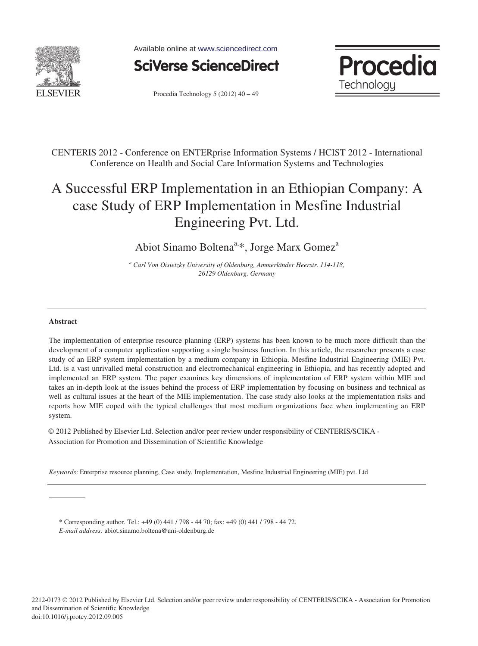

Available online at www.sciencedirect.com



Procedia Technology  $5(2012)$   $40 - 49$ 



CENTERIS 2012 - Conference on ENTERprise Information Systems / HCIST 2012 - International Conference on Health and Social Care Information Systems and Technologies

## A Successful ERP Implementation in an Ethiopian Company: A case Study of ERP Implementation in Mesfine Industrial Engineering Pvt. Ltd.

Abiot Sinamo Boltena<sup>a,\*</sup>, Jorge Marx Gomez<sup>a</sup>

*a Carl Von Oisietzky University of Oldenburg, Ammerländer Heerstr. 114-118, 26129 Oldenburg, Germany* 

## **Abstract**

The implementation of enterprise resource planning (ERP) systems has been known to be much more difficult than the development of a computer application supporting a single business function. In this article, the researcher presents a case study of an ERP system implementation by a medium company in Ethiopia. Mesfine Industrial Engineering (MIE) Pvt. Ltd. is a vast unrivalled metal construction and electromechanical engineering in Ethiopia, and has recently adopted and implemented an ERP system. The paper examines key dimensions of implementation of ERP system within MIE and takes an in-depth look at the issues behind the process of ERP implementation by focusing on business and technical as well as cultural issues at the heart of the MIE implementation. The case study also looks at the implementation risks and reports how MIE coped with the typical challenges that most medium organizations face when implementing an ERP system.

© 2012 Published by Elsevier Ltd. Selection and/or peer-review under responsibility of © 2012 Published by Elsevier Ltd. Selection and/or peer review under responsibility of CENTERIS/SCIKA - Association for Promotion and Dissemination of Scientific Knowledge

*Keywords*: Enterprise resource planning, Case study, Implementation, Mesfine Industrial Engineering (MIE) pvt. Ltd

\* Corresponding author. Tel.: +49 (0) 441 / 798 - 44 70; fax: +49 (0) 441 / 798 - 44 72. *E-mail address:* abiot.sinamo.boltena@uni-oldenburg.de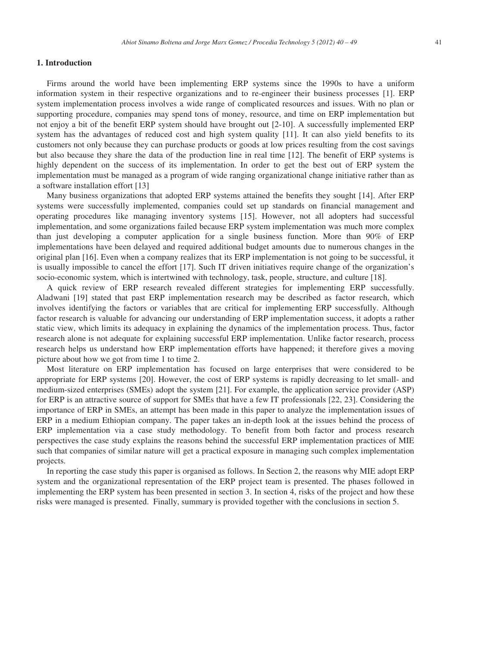## **1. Introduction**

Firms around the world have been implementing ERP systems since the 1990s to have a uniform information system in their respective organizations and to re-engineer their business processes [1]. ERP system implementation process involves a wide range of complicated resources and issues. With no plan or supporting procedure, companies may spend tons of money, resource, and time on ERP implementation but not enjoy a bit of the benefit ERP system should have brought out [2-10]. A successfully implemented ERP system has the advantages of reduced cost and high system quality [11]. It can also yield benefits to its customers not only because they can purchase products or goods at low prices resulting from the cost savings but also because they share the data of the production line in real time [12]. The benefit of ERP systems is highly dependent on the success of its implementation. In order to get the best out of ERP system the implementation must be managed as a program of wide ranging organizational change initiative rather than as a software installation effort [13]

Many business organizations that adopted ERP systems attained the benefits they sought [14]. After ERP systems were successfully implemented, companies could set up standards on financial management and operating procedures like managing inventory systems [15]. However, not all adopters had successful implementation, and some organizations failed because ERP system implementation was much more complex than just developing a computer application for a single business function. More than 90% of ERP implementations have been delayed and required additional budget amounts due to numerous changes in the original plan [16]. Even when a company realizes that its ERP implementation is not going to be successful, it is usually impossible to cancel the effort [17]. Such IT driven initiatives require change of the organization's socio-economic system, which is intertwined with technology, task, people, structure, and culture [18].

A quick review of ERP research revealed different strategies for implementing ERP successfully. Aladwani [19] stated that past ERP implementation research may be described as factor research, which involves identifying the factors or variables that are critical for implementing ERP successfully. Although factor research is valuable for advancing our understanding of ERP implementation success, it adopts a rather static view, which limits its adequacy in explaining the dynamics of the implementation process. Thus, factor research alone is not adequate for explaining successful ERP implementation. Unlike factor research, process research helps us understand how ERP implementation efforts have happened; it therefore gives a moving picture about how we got from time 1 to time 2.

Most literature on ERP implementation has focused on large enterprises that were considered to be appropriate for ERP systems [20]. However, the cost of ERP systems is rapidly decreasing to let small- and medium-sized enterprises (SMEs) adopt the system [21]. For example, the application service provider (ASP) for ERP is an attractive source of support for SMEs that have a few IT professionals [22, 23]. Considering the importance of ERP in SMEs, an attempt has been made in this paper to analyze the implementation issues of ERP in a medium Ethiopian company. The paper takes an in-depth look at the issues behind the process of ERP implementation via a case study methodology. To benefit from both factor and process research perspectives the case study explains the reasons behind the successful ERP implementation practices of MIE such that companies of similar nature will get a practical exposure in managing such complex implementation projects.

In reporting the case study this paper is organised as follows. In Section 2, the reasons why MIE adopt ERP system and the organizational representation of the ERP project team is presented. The phases followed in implementing the ERP system has been presented in section 3. In section 4, risks of the project and how these risks were managed is presented. Finally, summary is provided together with the conclusions in section 5.